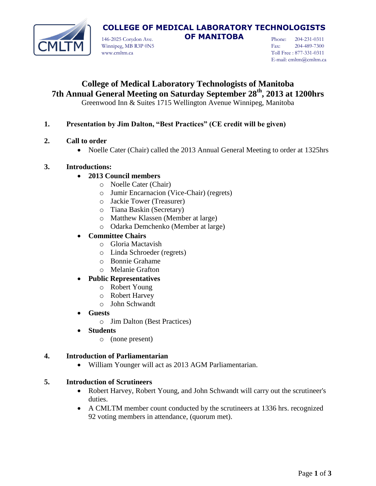

# **COLLEGE OF MEDICAL LABORATORY TECHNOLOGISTS**

146-2025 Corydon Ave. **OF MANITOBA** Winnipeg, MB R3P 0N5 www.cmltm.ca

Phone: 204-231-0311 Fax: 204-489-7300 Toll Free : 877-331-0311 E-mail: cmltm@cmltm.ca

# **College of Medical Laboratory Technologists of Manitoba 7th Annual General Meeting on Saturday September 28th, 2013 at 1200hrs**

Greenwood Inn & Suites 1715 Wellington Avenue Winnipeg, Manitoba

### **1. Presentation by Jim Dalton, "Best Practices" (CE credit will be given)**

- **2. Call to order**
	- Noelle Cater (Chair) called the 2013 Annual General Meeting to order at 1325hrs

#### **3. Introductions:**

- **2013 Council members**
	- o Noelle Cater (Chair)
	- o Jumir Encarnacion (Vice-Chair) (regrets)
	- o Jackie Tower (Treasurer)
	- o Tiana Baskin (Secretary)
	- o Matthew Klassen (Member at large)
	- o Odarka Demchenko (Member at large)

#### **Committee Chairs**

- o Gloria Mactavish
- o Linda Schroeder (regrets)
- o Bonnie Grahame
- o Melanie Grafton

#### **Public Representatives**

- o Robert Young
- o Robert Harvey
- o John Schwandt
- **Guests**
	- o Jim Dalton (Best Practices)

#### **Students**

o (none present)

#### **4. Introduction of Parliamentarian**

William Younger will act as 2013 AGM Parliamentarian.

#### **5. Introduction of Scrutineers**

- Robert Harvey, Robert Young, and John Schwandt will carry out the scrutineer's duties.
- A CMLTM member count conducted by the scrutineers at 1336 hrs. recognized 92 voting members in attendance, (quorum met).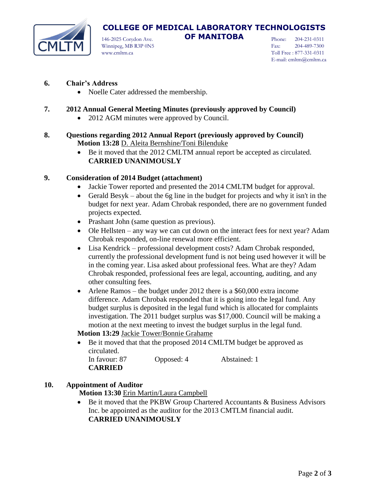

# **COLLEGE OF MEDICAL LABORATORY TECHNOLOGISTS**

146-2025 Corydon Ave. **OF MANITOBA** Winnipeg, MB R3P 0N5 www.cmltm.ca

Phone: 204-231-0311 Fax: 204-489-7300 Toll Free : 877-331-0311 E-mail: cmltm@cmltm.ca

#### **6. Chair's Address**

• Noelle Cater addressed the membership.

### **7. 2012 Annual General Meeting Minutes (previously approved by Council)**

- 2012 AGM minutes were approved by Council.
- **8. Questions regarding 2012 Annual Report (previously approved by Council) Motion 13:28** D. Aleita Bernshine/Toni Bilenduke
	- Be it moved that the 2012 CMLTM annual report be accepted as circulated. **CARRIED UNANIMOUSLY**

#### **9. Consideration of 2014 Budget (attachment)**

- Jackie Tower reported and presented the 2014 CMLTM budget for approval.
- Gerald Besyk about the 6g line in the budget for projects and why it isn't in the budget for next year. Adam Chrobak responded, there are no government funded projects expected.
- Prashant John (same question as previous).
- Ole Hellsten any way we can cut down on the interact fees for next year? Adam Chrobak responded, on-line renewal more efficient.
- Lisa Kendrick professional development costs? Adam Chrobak responded, currently the professional development fund is not being used however it will be in the coming year. Lisa asked about professional fees. What are they? Adam Chrobak responded, professional fees are legal, accounting, auditing, and any other consulting fees.
- Arlene Ramos the budget under 2012 there is a \$60,000 extra income difference. Adam Chrobak responded that it is going into the legal fund. Any budget surplus is deposited in the legal fund which is allocated for complaints investigation. The 2011 budget surplus was \$17,000. Council will be making a motion at the next meeting to invest the budget surplus in the legal fund.

#### **Motion 13:29** Jackie Tower/Bonnie Grahame

• Be it moved that that the proposed 2014 CMLTM budget be approved as circulated. In favour: 87 Opposed: 4 Abstained: 1 **CARRIED**

## **10. Appointment of Auditor**

- **Motion 13:30** Erin Martin/Laura Campbell
- Be it moved that the PKBW Group Chartered Accountants & Business Advisors Inc. be appointed as the auditor for the 2013 CMTLM financial audit. **CARRIED UNANIMOUSLY**